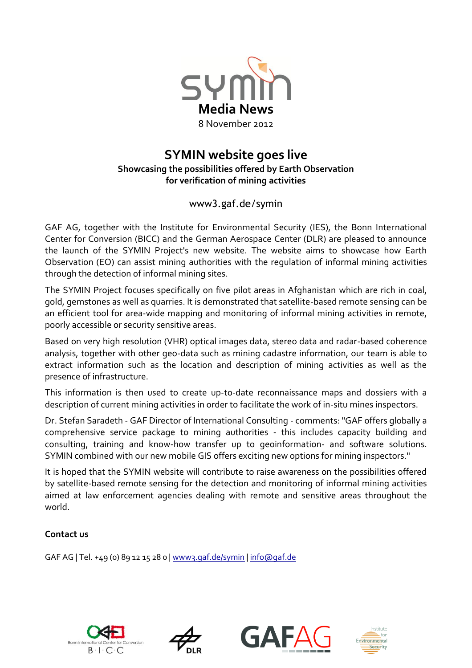

# **SYMIN website goes live Showcasing the possibilities offered by Earth Observation for verification of mining activities**

## www3.gaf.de/symin

GAF AG, together with the Institute for Environmental Security (IES), the Bonn International Center for Conversion (BICC) and the German Aerospace Center (DLR) are pleased to announce the launch of the SYMIN Project's new website. The website aims to showcase how Earth Observation (EO) can assist mining authorities with the regulation of informal mining activities through the detection of informal mining sites.

The SYMIN Project focuses specifically on five pilot areas in Afghanistan which are rich in coal, gold, gemstones as well as quarries. It is demonstrated that satellite-based remote sensing can be an efficient tool for area-wide mapping and monitoring of informal mining activities in remote, poorly accessible or security sensitive areas.

Based on very high resolution (VHR) optical images data, stereo data and radar-based coherence analysis, together with other geo-data such as mining cadastre information, our team is able to extract information such as the location and description of mining activities as well as the presence of infrastructure.

This information is then used to create up-to-date reconnaissance maps and dossiers with a description of current mining activities in order to facilitate the work of in-situ mines inspectors.

Dr. Stefan Saradeth - GAF Director of International Consulting - comments: "GAF offers globally a comprehensive service package to mining authorities - this includes capacity building and consulting, training and know-how transfer up to geoinformation- and software solutions. SYMIN combined with our new mobile GIS offers exciting new options for mining inspectors."

It is hoped that the SYMIN website will contribute to raise awareness on the possibilities offered by satellite-based remote sensing for the detection and monitoring of informal mining activities aimed at law enforcement agencies dealing with remote and sensitive areas throughout the world.

### **Contact us**

GAF AG | Tel. +49 (0) 89 12 15 28 0 | www3.gaf.de/symin [| info@gaf.de](mailto:info@gaf.de)